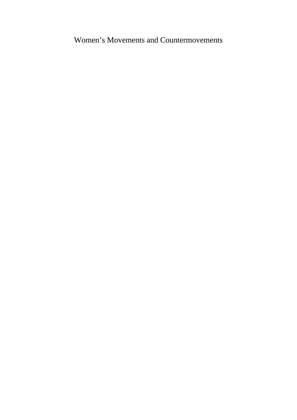Women's Movements and Countermovements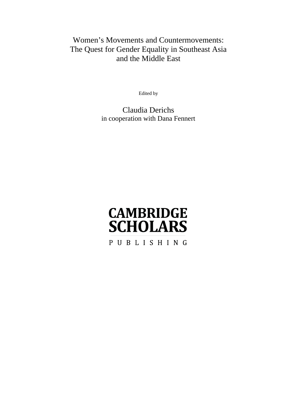# Women's Movements and Countermovements: The Quest for Gender Equality in Southeast Asia and the Middle East

Edited by

Claudia Derichs in cooperation with Dana Fennert

# **CAMBRIDGE SCHOLARS**

PUBLISHING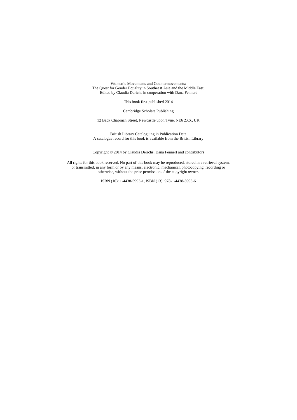Women's Movements and Countermovements: The Quest for Gender Equality in Southeast Asia and the Middle East, Edited by Claudia Derichs in cooperation with Dana Fennert

This book first published 2014

Cambridge Scholars Publishing

12 Back Chapman Street, Newcastle upon Tyne, NE6 2XX, UK

British Library Cataloguing in Publication Data A catalogue record for this book is available from the British Library

Copyright © 2014 by Claudia Derichs, Dana Fennert and contributors

All rights for this book reserved. No part of this book may be reproduced, stored in a retrieval system, or transmitted, in any form or by any means, electronic, mechanical, photocopying, recording or otherwise, without the prior permission of the copyright owner.

ISBN (10): 1-4438-5993-1, ISBN (13): 978-1-4438-5993-6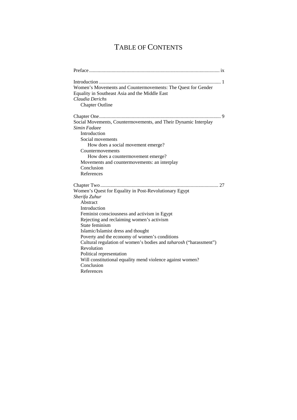# TABLE OF CONTENTS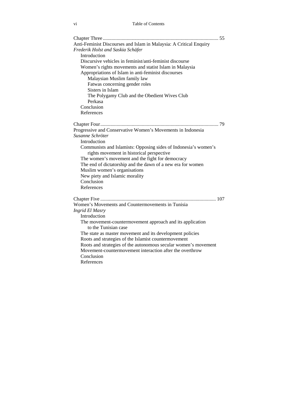| Anti-Feminist Discourses and Islam in Malaysia: A Critical Enquiry |
|--------------------------------------------------------------------|
| Frederik Holst and Saskia Schäfer                                  |
| Introduction                                                       |
| Discursive vehicles in feminist/anti-feminist discourse            |
| Women's rights movements and statist Islam in Malaysia             |
| Appropriations of Islam in anti-feminist discourses                |
| Malaysian Muslim family law                                        |
| Fatwas concerning gender roles                                     |
| Sisters in Islam                                                   |
| The Polygamy Club and the Obedient Wives Club                      |
| Perkasa                                                            |
| Conclusion                                                         |
| References                                                         |
|                                                                    |
| Progressive and Conservative Women's Movements in Indonesia        |
| Susanne Schröter                                                   |
| Introduction                                                       |
| Communists and Islamists: Opposing sides of Indonesia's women's    |
| rights movement in historical perspective                          |
| The women's movement and the fight for democracy                   |
| The end of dictatorship and the dawn of a new era for women        |
| Muslim women's organisations                                       |
| New piety and Islamic morality                                     |
| Conclusion                                                         |
| References                                                         |
|                                                                    |
| Women's Movements and Countermovements in Tunisia                  |
| <b>Ingrid El Masry</b>                                             |
| Introduction                                                       |
| The movement-countermovement approach and its application          |
| to the Tunisian case                                               |
| The state as master movement and its development policies          |
| Roots and strategies of the Islamist countermovement               |
| Roots and strategies of the autonomous secular women's movement    |
| Movement-countermovement interaction after the overthrow           |
| Conclusion                                                         |
| References                                                         |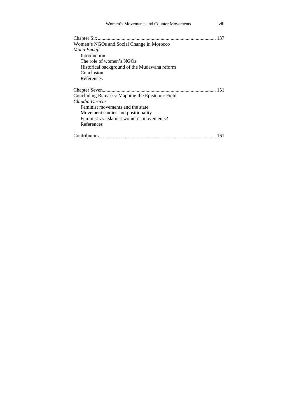| Women's Movements and Counter Movements<br>V11  |  |
|-------------------------------------------------|--|
| Women's NGOs and Social Change in Morocco       |  |
| Moha Ennaji                                     |  |
| Introduction                                    |  |
| The role of women's NGOs                        |  |
| Historical background of the Mudawana reform    |  |
| Conclusion                                      |  |
| References                                      |  |
|                                                 |  |
| Concluding Remarks: Mapping the Epistemic Field |  |
| Claudia Derichs                                 |  |
| Feminist movements and the state                |  |
| Movement studies and positionality              |  |
| Feminist vs. Islamist women's movements?        |  |
| References                                      |  |
|                                                 |  |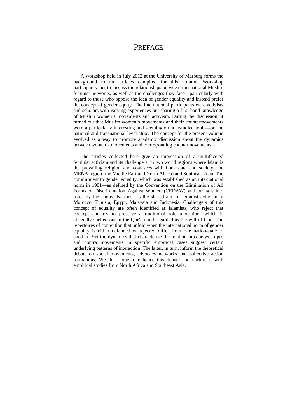### **PREFACE**

A workshop held in July 2012 at the University of Marburg forms the background to the articles compiled for this volume. Workshop participants met to discuss the relationships between transnational Muslim feminist networks, as well as the challenges they face—particularly with regard to those who oppose the idea of gender equality and instead prefer the concept of gender equity. The international participants were activists and scholars with varying experiences but sharing a first-hand knowledge of Muslim women's movements and activism. During the discussion, it turned out that Muslim women's movements and their countermovements were a particularly interesting and seemingly understudied topic—on the national and transnational level alike. The concept for the present volume evolved as a way to promote academic discussion about the dynamics between women's movements and corresponding countermovements.

The articles collected here give an impression of a multifaceted feminist activism and its challengers, in two world regions where Islam is the prevailing religion and coalesces with both state and society: the MENA region (the Middle East and North Africa) and Southeast Asia. The commitment to gender equality, which was established as an international norm in 1981—as defined by the Convention on the Elimination of All Forms of Discrimination Against Women (CEDAW) and brought into force by the United Nations—is the shared aim of feminist activism in Morocco, Tunisia, Egypt, Malaysia and Indonesia. Challengers of this concept of equality are often identified as Islamists, who reject that concept and try to preserve a traditional role allocation—which is allegedly spelled out in the Qur'an and regarded as the will of God. The repertoires of contention that unfold when the international norm of gender equality is either defended or rejected differ from one nation-state to another. Yet the dynamics that characterize the relationships between pro and contra movements in specific empirical cases suggest certain underlying patterns of interaction. The latter, in turn, inform the theoretical debate on social movements, advocacy networks and collective action formations. We thus hope to enhance this debate and nurture it with empirical studies from North Africa and Southeast Asia.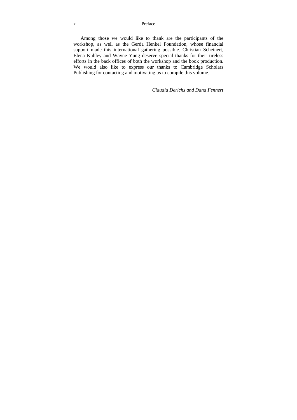#### x Preface

Among those we would like to thank are the participants of the workshop, as well as the Gerda Henkel Foundation, whose financial support made this international gathering possible. Christian Scheinert, Elena Kuhley and Wayne Yung deserve special thanks for their tireless efforts in the back offices of both the workshop and the book production. We would also like to express our thanks to Cambridge Scholars Publishing for contacting and motivating us to compile this volume.

*Claudia Derichs and Dana Fennert*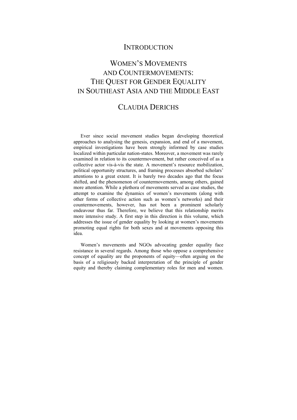### **INTRODUCTION**

# WOMEN'S MOVEMENTS AND COUNTERMOVEMENTS: THE OUEST FOR GENDER EQUALITY IN SOUTHEAST ASIA AND THE MIDDLE EAST

## CLAUDIA DERICHS

Ever since social movement studies began developing theoretical approaches to analysing the genesis, expansion, and end of a movement, empirical investigations have been strongly informed by case studies localized within particular nation-states. Moreover, a movement was rarely examined in relation to its countermovement, but rather conceived of as a collective actor vis-à-vis the state. A movement's resource mobilization, political opportunity structures, and framing processes absorbed scholars' attentions to a great extent. It is barely two decades ago that the focus shifted, and the phenomenon of countermovements, among others, gained more attention. While a plethora of movements served as case studies, the attempt to examine the dynamics of women's movements (along with other forms of collective action such as women's networks) and their countermovements, however, has not been a prominent scholarly endeavour thus far. Therefore, we believe that this relationship merits more intensive study. A first step in this direction is this volume, which addresses the issue of gender equality by looking at women's movements promoting equal rights for both sexes and at movements opposing this idea.

Women's movements and NGOs advocating gender equality face resistance in several regards. Among those who oppose a comprehensive concept of equality are the proponents of equity—often arguing on the basis of a religiously backed interpretation of the principle of gender equity and thereby claiming complementary roles for men and women.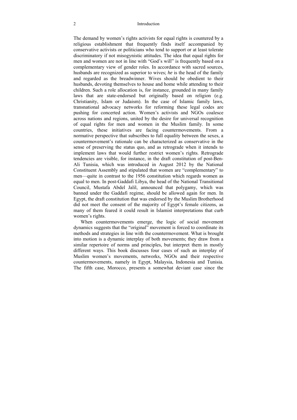#### 2 Introduction

The demand by women's rights activists for equal rights is countered by a religious establishment that frequently finds itself accompanied by conservative activists or politicians who tend to support or at least tolerate discriminatory if not misogynistic attitudes. The idea that equal rights for men and women are not in line with "God's will" is frequently based on a complementary view of gender roles. In accordance with sacred sources, husbands are recognized as superior to wives; *he* is the head of the family and regarded as the breadwinner. Wives should be obedient to their husbands, devoting themselves to house and home while attending to their children. Such a role allocation is, for instance, grounded in many family laws that are state-endorsed but originally based on religion (e.g. Christianity, Islam or Judaism). In the case of Islamic family laws, transnational advocacy networks for reforming these legal codes are pushing for concerted action. Women's activists and NGOs coalesce across nations and regions, united by the desire for universal recognition of equal rights for men and women in the Muslim family. In some countries, these initiatives are facing countermovements. From a normative perspective that subscribes to full equality between the sexes, a countermovement's rationale can be characterized as conservative in the sense of preserving the status quo, and as retrograde when it intends to implement laws that would further restrict women's rights. Retrograde tendencies are visible, for instance, in the draft constitution of post-Ben-Ali Tunisia, which was introduced in August 2012 by the National Constituent Assembly and stipulated that women are "complementary" to men—quite in contrast to the 1956 constitution which regards women as equal to men. In post-Gaddafi Libya, the head of the National Transitional Council, Mustafa Abdel Jalil, announced that polygamy, which was banned under the Gaddafi regime, should be allowed again for men. In Egypt, the draft constitution that was endorsed by the Muslim Brotherhood did not meet the consent of the majority of Egypt's female citizens, as many of them feared it could result in Islamist interpretations that curb women's rights.

When countermovements emerge, the logic of social movement dynamics suggests that the "original" movement is forced to coordinate its methods and strategies in line with the countermovement. What is brought into motion is a dynamic interplay of both movements; they draw from a similar repertoire of norms and principles, but interpret them in mostly different ways. This book discusses four cases of such an interplay of Muslim women's movements, networks, NGOs and their respective countermovements, namely in Egypt, Malaysia, Indonesia and Tunisia. The fifth case, Morocco, presents a somewhat deviant case since the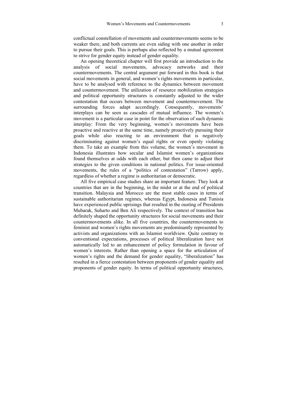conflictual constellation of movements and countermovements seems to be weaker there, and both currents are even siding with one another in order to pursue their goals. This is perhaps also reflected by a mutual agreement to strive for gender equity instead of gender equality.

An opening theoretical chapter will first provide an introduction to the analysis of social movements, advocacy networks and their countermovements. The central argument put forward in this book is that social movements in general, and women's rights movements in particular, have to be analysed with reference to the dynamics between movement and countermovement. The utilization of resource mobilization strategies and political opportunity structures is constantly adjusted to the wider contestation that occurs between movement and countermovement. The surrounding forces adapt accordingly. Consequently, movements' interplays can be seen as cascades of mutual influence. The women's movement is a particular case in point for the observation of such dynamic interplay: From the very beginning, women's movements have been proactive and reactive at the same time, namely proactively pursuing their goals while also reacting to an environment that is negatively discriminating against women's equal rights or even openly violating them. To take an example from this volume, the women's movement in Indonesia illustrates how secular and Islamist women's organizations found themselves at odds with each other, but then came to adjust their strategies to the given conditions in national politics. For issue-oriented movements, the rules of a "politics of contestation" (Tarrow) apply, regardless of whether a regime is authoritarian or democratic.

All five empirical case studies share an important feature. They look at countries that are in the beginning, in the midst or at the end of political transition. Malaysia and Morocco are the most stable cases in terms of sustainable authoritarian regimes, whereas Egypt, Indonesia and Tunisia have experienced public uprisings that resulted in the ousting of Presidents Mubarak, Suharto and Ben Ali respectively. The context of transition has definitely shaped the opportunity structures for social movements and their countermovements alike. In all five countries, the countermovements to feminist and women's rights movements are predominantly represented by activists and organizations with an Islamist worldview. Quite contrary to conventional expectations, processes of political liberalization have not automatically led to an enhancement of policy formulation in favour of women's interests. Rather than opening a space for the articulation of women's rights and the demand for gender equality, "liberalization" has resulted in a fierce contestation between proponents of gender equality and proponents of gender equity. In terms of political opportunity structures,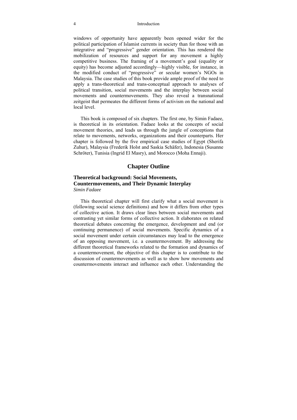#### 4 Introduction

windows of opportunity have apparently been opened wider for the political participation of Islamist currents in society than for those with an integrative and "progressive" gender orientation. This has rendered the mobilization of resources and support for any movement a highly competitive business. The framing of a movement's goal (equality or equity) has become adjusted accordingly—highly visible, for instance, in the modified conduct of "progressive" or secular women's NGOs in Malaysia. The case studies of this book provide ample proof of the need to apply a trans-theoretical and trans-conceptual approach to analyses of political transition, social movements and the interplay between social movements and countermovements. They also reveal a transnational zeitgeist that permeates the different forms of activism on the national and local level.

This book is composed of six chapters. The first one, by Simin Fadaee, is theoretical in its orientation. Fadaee looks at the concepts of social movement theories, and leads us through the jungle of conceptions that relate to movements, networks, organizations and their counterparts. Her chapter is followed by the five empirical case studies of Egypt (Sherifa Zuhur), Malaysia (Frederik Holst and Saskia Schäfer), Indonesia (Susanne Schröter), Tunisia (Ingrid El Masry), and Morocco (Moha Ennaji).

#### **Chapter Outline**

#### **Theoretical background: Social Movements, Countermovements, and Their Dynamic Interplay**  *Simin Fadaee*

This theoretical chapter will first clarify what a social movement is (following social science definitions) and how it differs from other types of collective action. It draws clear lines between social movements and contrasting yet similar forms of collective action. It elaborates on related theoretical debates concerning the emergence, development and end (or continuing permanence) of social movements. Specific dynamics of a social movement under certain circumstances may lead to the emergence of an opposing movement, i.e. a countermovement. By addressing the different theoretical frameworks related to the formation and dynamics of a countermovement, the objective of this chapter is to contribute to the discussion of countermovements as well as to show how movements and countermovements interact and influence each other. Understanding the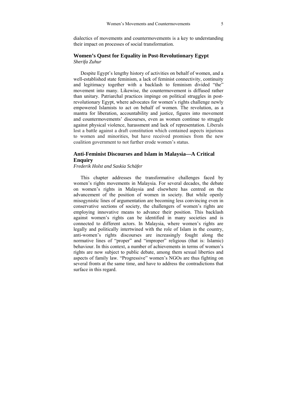dialectics of movements and countermovements is a key to understanding their impact on processes of social transformation.

#### **Women's Quest for Equality in Post-Revolutionary Egypt**  *Sherifa Zuhur*

Despite Egypt's lengthy history of activities on behalf of women, and a well-established state feminism, a lack of feminist connectivity, continuity and legitimacy together with a backlash to feminism divided "the" movement into many. Likewise, the countermovement is diffused rather than unitary. Patriarchal practices impinge on political struggles in postrevolutionary Egypt, where advocates for women's rights challenge newly empowered Islamists to act on behalf of women. The revolution, as a mantra for liberation, accountability and justice, figures into movement and countermovements' discourses, even as women continue to struggle against physical violence, harassment and lack of representation. Liberals lost a battle against a draft constitution which contained aspects injurious to women and minorities, but have received promises from the new coalition government to not further erode women's status.

#### **Anti-Feminist Discourses and Islam in Malaysia—A Critical Enquiry**

*Frederik Holst and Saskia Schäfer* 

This chapter addresses the transformative challenges faced by women's rights movements in Malaysia. For several decades, the debate on women's rights in Malaysia and elsewhere has centred on the advancement of the position of women in society. But while openly misogynistic lines of argumentation are becoming less convincing even in conservative sections of society, the challengers of women's rights are employing innovative means to advance their position. This backlash against women's rights can be identified in many societies and is connected to different actors. In Malaysia, where women's rights are legally and politically intertwined with the role of Islam in the country, anti-women's rights discourses are increasingly fought along the normative lines of "proper" and "improper" religious (that is: Islamic) behaviour. In this context, a number of achievements in terms of women's rights are now subject to public debate, among them sexual liberties and aspects of family law. "Progressive" women's NGOs are thus fighting on several fronts at the same time, and have to address the contradictions that surface in this regard.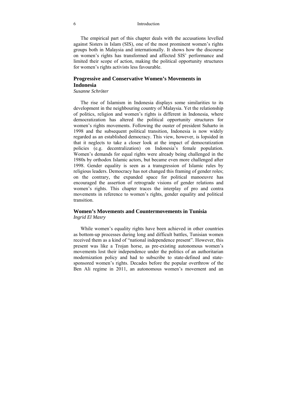#### 6 Introduction

The empirical part of this chapter deals with the accusations levelled against Sisters in Islam (SIS), one of the most prominent women's rights groups both in Malaysia and internationally. It shows how the discourse on women's rights has transformed and affected SIS' performance and limited their scope of action, making the political opportunity structures for women's rights activists less favourable.

#### **Progressive and Conservative Women's Movements in Indonesia**

#### *Susanne Schröter*

The rise of Islamism in Indonesia displays some similarities to its development in the neighbouring country of Malaysia. Yet the relationship of politics, religion and women's rights is different in Indonesia, where democratization has altered the political opportunity structures for women's rights movements. Following the ouster of president Suharto in 1998 and the subsequent political transition, Indonesia is now widely regarded as an established democracy. This view, however, is lopsided in that it neglects to take a closer look at the impact of democratization policies (e.g. decentralization) on Indonesia's female population. Women's demands for equal rights were already being challenged in the 1980s by orthodox Islamic actors, but became even more challenged after 1998. Gender equality is seen as a transgression of Islamic rules by religious leaders. Democracy has not changed this framing of gender roles; on the contrary, the expanded space for political manoeuvre has encouraged the assertion of retrograde visions of gender relations and women's rights. This chapter traces the interplay of pro and contra movements in reference to women's rights, gender equality and political transition.

#### **Women's Movements and Countermovements in Tunisia**  *Ingrid El Masry*

While women's equality rights have been achieved in other countries as bottom-up processes during long and difficult battles, Tunisian women received them as a kind of "national independence present". However, this present was like a Trojan horse, as pre-existing autonomous women's movements lost their independence under the politics of an authoritarian modernization policy and had to subscribe to state-defined and statesponsored women's rights. Decades before the popular overthrow of the Ben Ali regime in 2011, an autonomous women's movement and an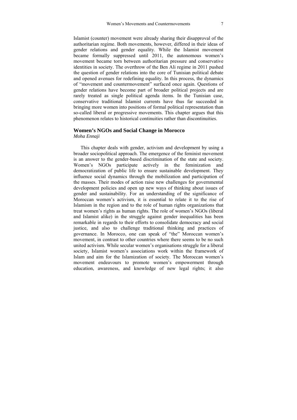Islamist (counter) movement were already sharing their disapproval of the authoritarian regime. Both movements, however, differed in their ideas of gender relations and gender equality. While the Islamist movement became formally suppressed until 2011, the autonomous women's movement became torn between authoritarian pressure and conservative identities in society. The overthrow of the Ben Ali regime in 2011 pushed the question of gender relations into the core of Tunisian political debate and opened avenues for redefining equality. In this process, the dynamics of "movement and countermovement" surfaced once again. Questions of gender relations have become part of broader political projects and are rarely treated as single political agenda items. In the Tunisian case, conservative traditional Islamist currents have thus far succeeded in bringing more women into positions of formal political representation than so-called liberal or progressive movements. This chapter argues that this phenomenon relates to historical continuities rather than discontinuities.

#### **Women's NGOs and Social Change in Morocco**

*Moha Ennaji* 

This chapter deals with gender, activism and development by using a broader sociopolitical approach. The emergence of the feminist movement is an answer to the gender-based discrimination of the state and society. Women's NGOs participate actively in the feminization and democratization of public life to ensure sustainable development. They influence social dynamics through the mobilization and participation of the masses. Their modes of action raise new challenges for governmental development policies and open up new ways of thinking about issues of gender and sustainability. For an understanding of the significance of Moroccan women's activism, it is essential to relate it to the rise of Islamism in the region and to the role of human rights organizations that treat women's rights as human rights. The role of women's NGOs (liberal and Islamist alike) in the struggle against gender inequalities has been remarkable in regards to their efforts to consolidate democracy and social justice, and also to challenge traditional thinking and practices of governance. In Morocco, one can speak of "the" Moroccan women's movement, in contrast to other countries where there seems to be no such united activism. While secular women's organisations struggle for a liberal society, Islamist women's associations work within the framework of Islam and aim for the Islamization of society. The Moroccan women's movement endeavours to promote women's empowerment through education, awareness, and knowledge of new legal rights; it also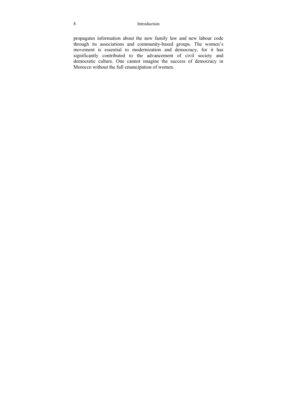#### 8 Introduction

propagates information about the new family law and new labour code through its associations and community-based groups. The women's movement is essential to modernization and democracy, for it has significantly contributed to the advancement of civil society and democratic culture. One cannot imagine the success of democracy in Morocco without the full emancipation of women.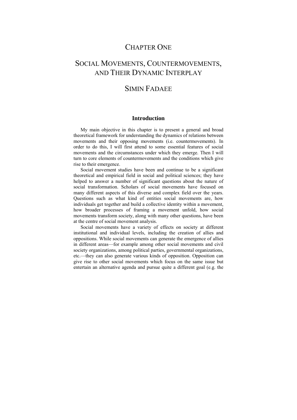### CHAPTER ONE

# SOCIAL MOVEMENTS, COUNTERMOVEMENTS, AND THEIR DYNAMIC INTERPLAY

### SIMIN FADAEE

#### **Introduction**

My main objective in this chapter is to present a general and broad theoretical framework for understanding the dynamics of relations between movements and their opposing movements (i.e. countermovements). In order to do this, I will first attend to some essential features of social movements and the circumstances under which they emerge. Then I will turn to core elements of countermovements and the conditions which give rise to their emergence.

Social movement studies have been and continue to be a significant theoretical and empirical field in social and political sciences; they have helped to answer a number of significant questions about the nature of social transformation. Scholars of social movements have focused on many different aspects of this diverse and complex field over the years. Questions such as what kind of entities social movements are, how individuals get together and build a collective identity within a movement, how broader processes of framing a movement unfold, how social movements transform society, along with many other questions, have been at the centre of social movement analysis.

Social movements have a variety of effects on society at different institutional and individual levels, including the creation of allies and oppositions. While social movements can generate the emergence of allies in different areas—for example among other social movements and civil society organizations, among political parties, governmental organizations, etc.—they can also generate various kinds of opposition. Opposition can give rise to other social movements which focus on the same issue but entertain an alternative agenda and pursue quite a different goal (e.g. the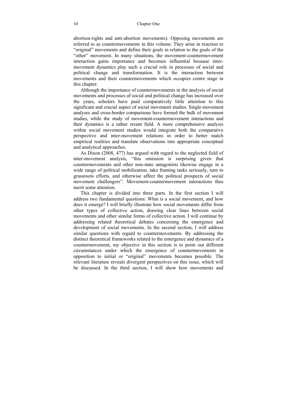abortion-rights and anti-abortion movements). Opposing movements are referred to as countermovements in this volume. They arise in reaction to "original" movements and define their goals in relation to the goals of the "other" movement. In many situations, the movement-countermovement interaction gains importance and becomes influential because intermovement dynamics play such a crucial role in processes of social and political change and transformation. It is the interaction between movements and their countermovements which occupies centre stage in this chapter.

Although the importance of countermovements in the analysis of social movements and processes of social and political change has increased over the years, scholars have paid comparatively little attention to this significant and crucial aspect of social movement studies. Single-movement analyses and cross-border comparisons have formed the bulk of movement studies, while the study of movement-countermovement interactions and their dynamics is a rather recent field. A more comprehensive analysis within social movement studies would integrate both the comparative perspective and inter-movement relations in order to better match empirical realities and translate observations into appropriate conceptual and analytical approaches.

As Dixon (2008, 477) has argued with regard to the neglected field of inter-movement analysis, "this omission is surprising given that countermovements and other non-state antagonists likewise engage in a wide range of political mobilization, take framing tasks seriously, turn to grassroots efforts, and otherwise affect the political prospects of social movement challengers". Movement-countermovement interactions thus merit some attention.

This chapter is divided into three parts. In the first section I will address two fundamental questions: What is a social movement, and how does it emerge? I will briefly illustrate how social movements differ from other types of collective action, drawing clear lines between social movements and other similar forms of collective action. I will continue by addressing related theoretical debates concerning the emergence and development of social movements. In the second section, I will address similar questions with regard to countermovements. By addressing the distinct theoretical frameworks related to the emergence and dynamics of a countermovement, my objective in this section is to point out different circumstances under which the emergence of countermovements in opposition to initial or "original" movements becomes possible. The relevant literature reveals divergent perspectives on this issue, which will be discussed. In the third section, I will show how movements and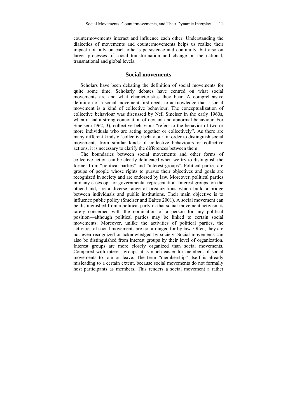countermovements interact and influence each other. Understanding the dialectics of movements and countermovements helps us realize their impact not only on each other's persistence and continuity, but also on larger processes of social transformation and change on the national, transnational and global levels.

#### **Social movements**

Scholars have been debating the definition of social movements for quite some time. Scholarly debates have centred on what social movements are and what characteristics they bear. A comprehensive definition of a social movement first needs to acknowledge that a social movement is a kind of collective behaviour. The conceptualization of collective behaviour was discussed by Neil Smelser in the early 1960s, when it had a strong connotation of deviant and abnormal behaviour. For Smelser (1962, 3), collective behaviour "refers to the behavior of two or more individuals who are acting together or collectively". As there are many different kinds of collective behaviour, in order to distinguish social movements from similar kinds of collective behaviours or collective actions, it is necessary to clarify the differences between them.

The boundaries between social movements and other forms of collective action can be clearly delineated when we try to distinguish the former from "political parties" and "interest groups". Political parties are groups of people whose rights to pursue their objectives and goals are recognized in society and are endorsed by law. Moreover, political parties in many cases opt for governmental representation. Interest groups, on the other hand, are a diverse range of organizations which build a bridge between individuals and public institutions. Their main objective is to influence public policy (Smelser and Baltes 2001). A social movement can be distinguished from a political party in that social movement activism is rarely concerned with the nomination of a person for any political position—although political parties may be linked to certain social movements. Moreover, unlike the activities of political parties, the activities of social movements are not arranged for by law. Often, they are not even recognized or acknowledged by society. Social movements can also be distinguished from interest groups by their level of organization. Interest groups are more closely organized than social movements. Compared with interest groups, it is much easier for members of social movements to join or leave. The term "membership" itself is already misleading to a certain extent, because social movements do not formally host participants as members. This renders a social movement a rather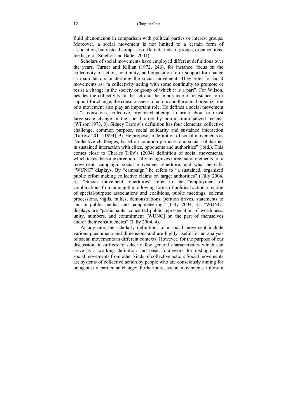fluid phenomenon in comparison with political parties or interest groups. Moreover, a social movement is not limited to a certain form of association, but instead comprises different kinds of groups, organizations, media, etc. (Smelser and Baltes 2001).

Scholars of social movements have employed different definitions over the years. Turner and Killian (1972, 246), for instance, focus on the collectivity of action, continuity, and opposition to or support for change as main factors in defining the social movement. They refer to social movements as: "a collectivity acting with some continuity to promote or resist a change in the society or group of which it is a part". For Wilson, besides the collectivity of the act and the importance of resistance to or support for change, the consciousness of actors and the actual organization of a movement also play an important role. He defines a social movement as "a conscious, collective, organized attempt to bring about or resist large-scale change in the social order by non-institutionalized means" (Wilson 1973, 8). Sidney Tarrow's definition has four elements: collective challenge, common purpose, social solidarity and sustained interaction (Tarrow 2011 [1994], 9). He proposes a definition of social movements as "collective challenges, based on common purposes and social solidarities in sustained interaction with elites, opponents and authorities" (ibid.). This comes close to Charles Tilly's (2004) definition of social movements, which takes the same direction. Tilly recognizes three major elements for a movement: campaign, social movement repertoire, and what he calls "WUNC" displays. By "campaign" he refers to "a sustained, organized public effort making collective claims on target authorities" (Tilly 2004, 3). "Social movement repertoires" refer to the "employment of combinations from among the following forms of political action: creation of special-purpose associations and coalitions, public meetings, solemn processions, vigils, rallies, demonstrations, petition drives, statements to and in public media, and pamphleteering" (Tilly 2004, 3). "WUNC" displays are "participants' concerted public representation of worthiness, unity, numbers, and commitment [WUNC] on the part of themselves and/or their constituencies" (Tilly 2004, 4).

At any rate, the scholarly definitions of a social movement include various phenomena and dimensions and are highly useful for an analysis of social movements in different contexts. However, for the purpose of our discussion, it suffices to select a few general characteristics which can serve as a working definition and basic framework for distinguishing social movements from other kinds of collective action: Social movements are systems of collective action by people who are consciously aiming for or against a particular change; furthermore, social movements follow a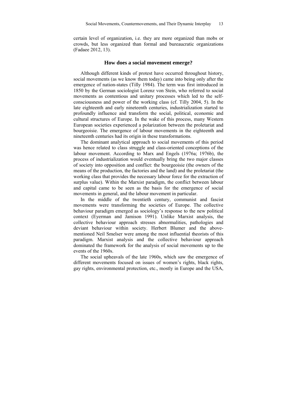certain level of organization, i.e. they are more organized than mobs or crowds, but less organized than formal and bureaucratic organizations (Fadaee 2012, 13).

#### **How does a social movement emerge?**

Although different kinds of protest have occurred throughout history, social movements (as we know them today) came into being only after the emergence of nation-states (Tilly 1984). The term was first introduced in 1850 by the German sociologist Lorenz von Stein, who referred to social movements as contentious and unitary processes which led to the selfconsciousness and power of the working class (cf. Tilly 2004, 5). In the late eighteenth and early nineteenth centuries, industrialization started to profoundly influence and transform the social, political, economic and cultural structures of Europe. In the wake of this process, many Western European societies experienced a polarization between the proletariat and bourgeoisie. The emergence of labour movements in the eighteenth and nineteenth centuries had its origin in these transformations.

The dominant analytical approach to social movements of this period was hence related to class struggle and class-oriented conceptions of the labour movement. According to Marx and Engels (1976a; 1976b), the process of industrialization would eventually bring the two major classes of society into opposition and conflict: the bourgeoisie (the owners of the means of the production, the factories and the land) and the proletariat (the working class that provides the necessary labour force for the extraction of surplus value). Within the Marxist paradigm, the conflict between labour and capital came to be seen as the basis for the emergence of social movements in general, and the labour movement in particular.

In the middle of the twentieth century, communist and fascist movements were transforming the societies of Europe. The collective behaviour paradigm emerged as sociology's response to the new political context (Eyerman and Jamison 1991). Unlike Marxist analysis, the collective behaviour approach stresses abnormalities, pathologies and deviant behaviour within society. Herbert Blumer and the abovementioned Neil Smelser were among the most influential theorists of this paradigm. Marxist analysis and the collective behaviour approach dominated the framework for the analysis of social movements up to the events of the 1960s.

The social upheavals of the late 1960s, which saw the emergence of different movements focused on issues of women's rights, black rights, gay rights, environmental protection, etc., mostly in Europe and the USA,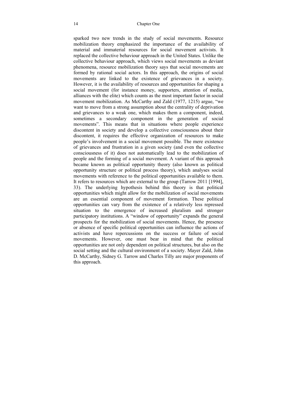sparked two new trends in the study of social movements. Resource mobilization theory emphasized the importance of the availability of material and immaterial resources for social movement activists. It replaced the collective behaviour approach in the United States. Unlike the collective behaviour approach, which views social movements as deviant phenomena, resource mobilization theory says that social movements are formed by rational social actors. In this approach, the origins of social movements are linked to the existence of grievances in a society. However, it is the availability of resources and opportunities for shaping a social movement (for instance money, supporters, attention of media, alliances with the elite) which counts as the most important factor in social movement mobilization. As McCarthy and Zald (1977, 1215) argue, "we want to move from a strong assumption about the centrality of deprivation and grievances to a weak one, which makes them a component, indeed, sometimes a secondary component in the generation of social movements". This means that in situations where people experience discontent in society and develop a collective consciousness about their discontent, it requires the effective organization of resources to make people's involvement in a social movement possible. The mere existence of grievances and frustration in a given society (and even the collective consciousness of it) does not automatically lead to the mobilization of people and the forming of a social movement. A variant of this approach became known as political opportunity theory (also known as political opportunity structure or political process theory), which analyses social movements with reference to the political opportunities available to them. It refers to resources which are external to the group (Tarrow 2011 [1994], 33). The underlying hypothesis behind this theory is that political opportunities which might allow for the mobilization of social movements are an essential component of movement formation. These political opportunities can vary from the existence of a relatively less repressed situation to the emergence of increased pluralism and stronger participatory institutions. A "window of opportunity" expands the general prospects for the mobilization of social movements. Hence, the presence or absence of specific political opportunities can influence the actions of activists and have repercussions on the success or failure of social movements. However, one must bear in mind that the political opportunities are not only dependent on political structures, but also on the social setting and the cultural environment of a society. Mayer Zald, John D. McCarthy, Sidney G. Tarrow and Charles Tilly are major proponents of this approach.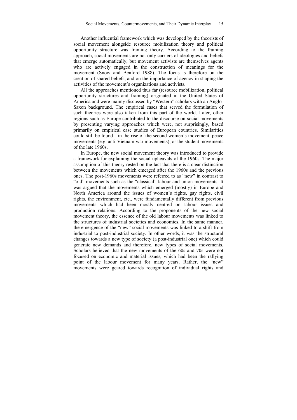Another influential framework which was developed by the theorists of social movement alongside resource mobilization theory and political opportunity structure was framing theory. According to the framing approach, social movements are not only carriers of ideologies and beliefs that emerge automatically, but movement activists are themselves agents who are actively engaged in the construction of meanings for the movement (Snow and Benford 1988). The focus is therefore on the creation of shared beliefs, and on the importance of agency in shaping the activities of the movement's organizations and activists.

All the approaches mentioned thus far (resource mobilization, political opportunity structures and framing) originated in the United States of America and were mainly discussed by "Western" scholars with an Anglo-Saxon background. The empirical cases that served the formulation of such theories were also taken from this part of the world. Later, other regions such as Europe contributed to the discourse on social movements by presenting varying approaches which were, not surprisingly, based primarily on empirical case studies of European countries. Similarities could still be found—in the rise of the second women's movement, peace movements (e.g. anti-Vietnam-war movements), or the student movements of the late 1960s.

In Europe, the new social movement theory was introduced to provide a framework for explaining the social upheavals of the 1960s. The major assumption of this theory rested on the fact that there is a clear distinction between the movements which emerged after the 1960s and the previous ones. The post-1960s movements were referred to as "new" in contrast to "old" movements such as the "classical" labour and union movements. It was argued that the movements which emerged (mostly) in Europe and North America around the issues of women's rights, gay rights, civil rights, the environment, etc., were fundamentally different from previous movements which had been mostly centred on labour issues and production relations. According to the proponents of the new social movement theory, the essence of the old labour movements was linked to the structures of industrial societies and economies. In the same manner, the emergence of the "new" social movements was linked to a shift from industrial to post-industrial society. In other words, it was the structural changes towards a new type of society (a post-industrial one) which could generate new demands and therefore, new types of social movements. Scholars believed that the new movements of the 60s and 70s were not focused on economic and material issues, which had been the rallying point of the labour movement for many years. Rather, the "new" movements were geared towards recognition of individual rights and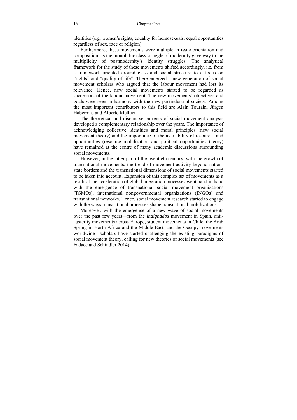identities (e.g. women's rights, equality for homosexuals, equal opportunities regardless of sex, race or religion).

Furthermore, these movements were multiple in issue orientation and composition, as the monolithic class struggle of modernity gave way to the multiplicity of postmodernity's identity struggles. The analytical framework for the study of these movements shifted accordingly, i.e. from a framework oriented around class and social structure to a focus on "rights" and "quality of life". There emerged a new generation of social movement scholars who argued that the labour movement had lost its relevance. Hence, new social movements started to be regarded as successors of the labour movement. The new movements' objectives and goals were seen in harmony with the new postindustrial society. Among the most important contributors to this field are Alain Tourain, Jürgen Habermas and Alberto Melluci.

The theoretical and discursive currents of social movement analysis developed a complementary relationship over the years. The importance of acknowledging collective identities and moral principles (new social movement theory) and the importance of the availability of resources and opportunities (resource mobilization and political opportunities theory) have remained at the centre of many academic discussions surrounding social movements.

However, in the latter part of the twentieth century, with the growth of transnational movements, the trend of movement activity beyond nationstate borders and the transnational dimensions of social movements started to be taken into account. Expansion of this complex set of movements as a result of the acceleration of global integration processes went hand in hand with the emergence of transnational social movement organizations (TSMOs), international nongovernmental organizations (INGOs) and transnational networks. Hence, social movement research started to engage with the ways transnational processes shape transnational mobilizations.

Moreover, with the emergence of a new wave of social movements over the past few years—from the *indignados* movement in Spain, antiausterity movements across Europe, student movements in Chile, the Arab Spring in North Africa and the Middle East, and the Occupy movements worldwide—scholars have started challenging the existing paradigms of social movement theory, calling for new theories of social movements (see Fadaee and Schindler 2014).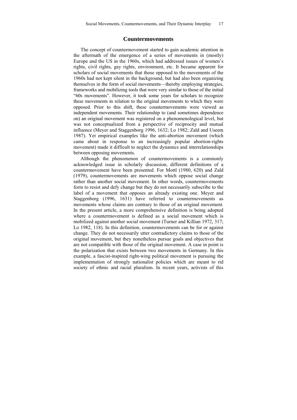#### **Countermovements**

The concept of countermovement started to gain academic attention in the aftermath of the emergence of a series of movements in (mostly) Europe and the US in the 1960s, which had addressed issues of women's rights, civil rights, gay rights, environment, etc. It became apparent for scholars of social movements that those opposed to the movements of the 1960s had not kept silent in the background, but had also been organizing themselves in the form of social movements—thereby employing strategies, frameworks and mobilizing tools that were very similar to those of the initial "60s movements". However, it took some years for scholars to recognize these movements in relation to the original movements to which they were opposed. Prior to this shift, these countermovements were viewed as independent movements. Their relationship to (and sometimes dependence on) an original movement was registered on a phenomenological level, but was not conceptualized from a perspective of reciprocity and mutual influence (Meyer and Staggenborg 1996, 1632; Lo 1982; Zald and Useem 1987). Yet empirical examples like the anti-abortion movement (which came about in response to an increasingly popular abortion-rights movement) made it difficult to neglect the dynamics and interrelationships between opposing movements.

Although the phenomenon of countermovements is a commonly acknowledged issue in scholarly discussion, different definitions of a countermovement have been presented. For Mottl (1980, 620) and Zald (1979), countermovements are movements which oppose social change rather than another social movement. In other words, countermovements form to resist and defy change but they do not necessarily subscribe to the label of a movement that opposes an already existing one. Meyer and Staggenborg (1996, 1631) have referred to countermovements as movements whose claims are contrary to those of an original movement. In the present article, a more comprehensive definition is being adopted where a countermovement is defined as a social movement which is mobilized against another social movement (Turner and Killian 1972, 317; Lo 1982, 118). In this definition, countermovements can be for or against change. They do not necessarily utter contradictory claims to those of the original movement, but they nonetheless pursue goals and objectives that are not compatible with those of the original movement. A case in point is the polarization that exists between two movements in Germany. In this example, a fascist-inspired right-wing political movement is pursuing the implementation of strongly nationalist policies which are meant to rid society of ethnic and racial pluralism. In recent years, activists of this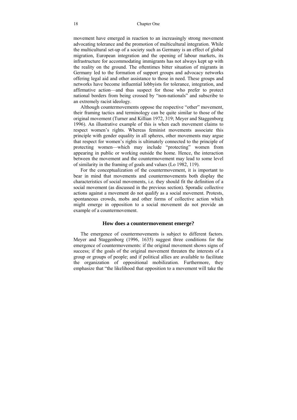movement have emerged in reaction to an increasingly strong movement advocating tolerance and the promotion of multicultural integration. While the multicultural set-up of a society such as Germany is an effect of global migration, European integration and the opening of labour markets, its infrastructure for accommodating immigrants has not always kept up with the reality on the ground. The oftentimes bitter situation of migrants in Germany led to the formation of support groups and advocacy networks offering legal aid and other assistance to those in need. These groups and networks have become influential lobbyists for tolerance, integration, and affirmative action—and thus suspect for those who prefer to protect national borders from being crossed by "non-nationals" and subscribe to an extremely racist ideology.

Although countermovements oppose the respective "other" movement, their framing tactics and terminology can be quite similar to those of the original movement (Turner and Killian 1972, 319; Meyer and Staggenborg 1996). An illustrative example of this is when each movement claims to respect women's rights. Whereas feminist movements associate this principle with gender equality in all spheres, other movements may argue that respect for women's rights is ultimately connected to the principle of protecting women—which may include "protecting" women from appearing in public or working outside the home. Hence, the interaction between the movement and the countermovement may lead to some level of similarity in the framing of goals and values (Lo 1982, 119).

For the conceptualization of the countermovement, it is important to bear in mind that movements and countermovements both display the characteristics of social movements, i.e. they should fit the definition of a social movement (as discussed in the previous section). Sporadic collective actions against a movement do not qualify as a social movement. Protests, spontaneous crowds, mobs and other forms of collective action which might emerge in opposition to a social movement do not provide an example of a countermovement.

#### **How does a countermovement emerge?**

The emergence of countermovements is subject to different factors. Meyer and Staggenborg (1996, 1635) suggest three conditions for the emergence of countermovements: if the original movement shows signs of success; if the goals of the original movement threaten the interests of a group or groups of people; and if political allies are available to facilitate the organization of oppositional mobilization. Furthermore, they emphasize that "the likelihood that opposition to a movement will take the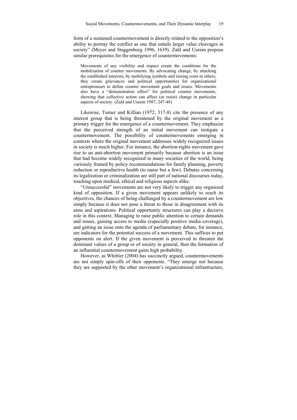form of a sustained countermovement is directly related to the opposition's ability to portray the conflict as one that entails larger value cleavages in society" (Meyer and Staggenborg 1996, 1639). Zald and Useem propose similar prerequisites for the emergence of countermovements:

Movements of any visibility and impact create the conditions for the mobilization of counter movements. By advocating change, by attacking the established interests, by mobilizing symbols and raising costs to others, they create grievances and political opportunities for organizational entrepreneurs to define counter movement goals and issues. Movements also have a "demonstration effect" for political counter movements, showing that collective action can affect (or resist) change in particular aspects of society. (Zald and Useem 1987, 247-48)

Likewise, Turner and Killian (1972, 317-8) cite the presence of any interest group that is being threatened by the original movement as a primary trigger for the emergence of a countermovement. They emphasize that the perceived strength of an initial movement can instigate a countermovement. The possibility of countermovements emerging in contexts where the original movement addresses widely recognized issues in society is much higher. For instance, the abortion-rights movement gave rise to an anti-abortion movement primarily because abortion is an issue that had become widely recognized in many societies of the world, being variously framed by policy recommendations for family planning, poverty reduction or reproductive health (to name but a few). Debates concerning its legalization or criminalization are still part of national discourses today, touching upon medical, ethical and religious aspects alike.

"Unsuccessful" movements are not very likely to trigger any organized kind of opposition. If a given movement appears unlikely to reach its objectives, the chances of being challenged by a countermovement are low simply because it does not pose a threat to those in disagreement with its aims and aspirations. Political opportunity structures can play a decisive role in this context. Managing to raise public attention to certain demands and issues, gaining access to media (especially positive media coverage), and getting an issue onto the agenda of parliamentary debate, for instance, are indicators for the potential success of a movement. This suffices to put opponents on alert. If the given movement is perceived to threaten the dominant values of a group or of society in general, then the formation of an influential countermovement gains high probability.

However, as Whittier (2004) has succinctly argued, countermovements are not simply spin-offs of their opponents. "They emerge not because they are supported by the other movement's organizational infrastructure,